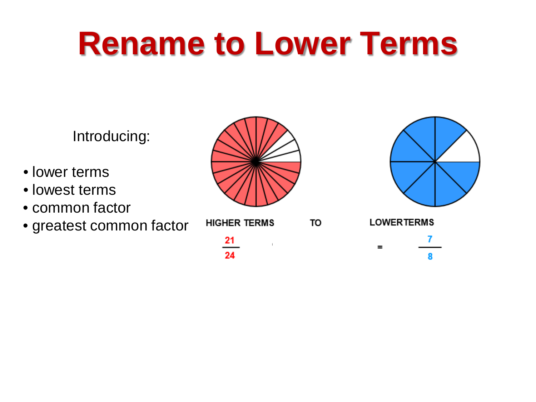Introducing:

- lower terms
- lowest terms
- common factor
- greatest common factor



 $\overline{21}$ 

 $24$ 



8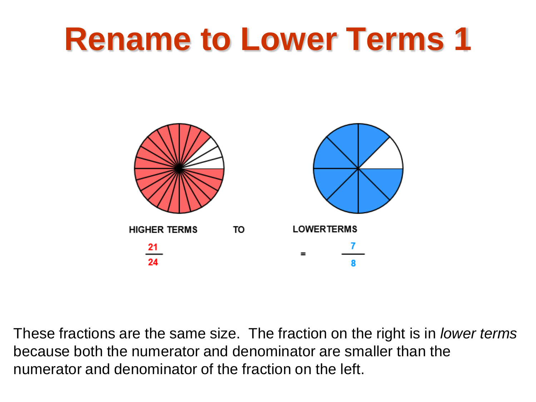

These fractions are the same size. The fraction on the right is in *lower terms* because both the numerator and denominator are smaller than the numerator and denominator of the fraction on the left.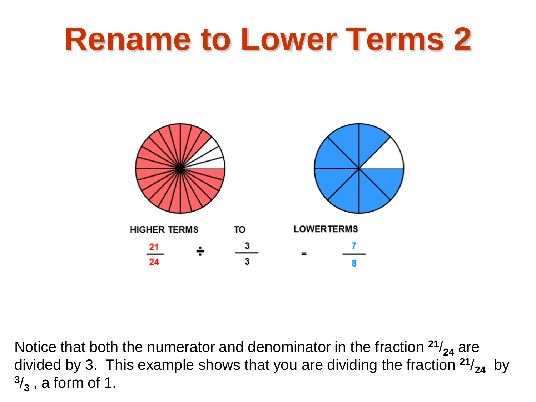

Notice that both the numerator and denominator in the fraction  $21/24$  are divided by 3. This example shows that you are dividing the fraction  $21/24$  by **<sup>3</sup>**/**<sup>3</sup>** , a form of 1.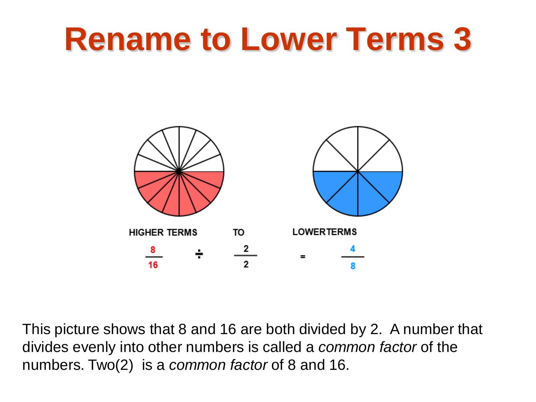

This picture shows that 8 and 16 are both divided by 2. A number that divides evenly into other numbers is called a *common factor* of the numbers. Two(2) is a *common factor* of 8 and 16.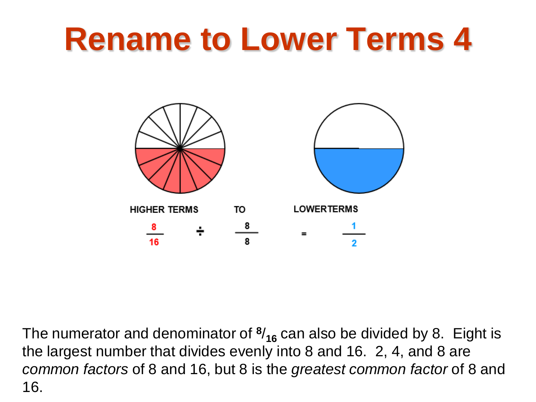

The numerator and denominator of **<sup>8</sup>**/**<sup>16</sup>** can also be divided by 8. Eight is the largest number that divides evenly into 8 and 16. 2, 4, and 8 are *common factors* of 8 and 16, but 8 is the *greatest common factor* of 8 and 16.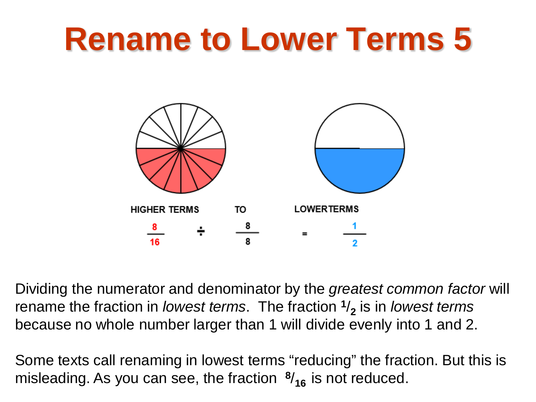

Dividing the numerator and denominator by the *greatest common factor* will rename the fraction in *lowest terms*. The fraction **<sup>1</sup>**/**<sup>2</sup>** is in *lowest terms*  because no whole number larger than 1 will divide evenly into 1 and 2.

Some texts call renaming in lowest terms "reducing" the fraction. But this is misleading. As you can see, the fraction **<sup>8</sup>**/**16** is not reduced.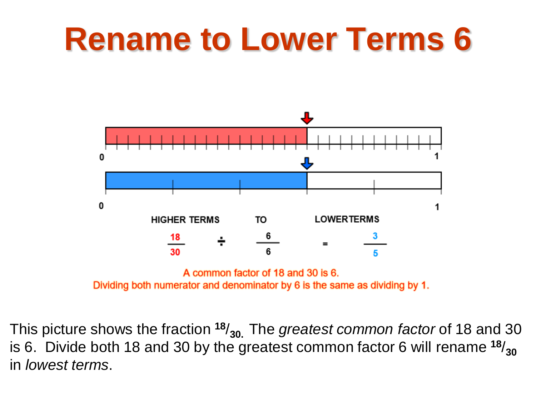

Dividing both numerator and denominator by 6 is the same as dividing by 1.

This picture shows the fraction **<sup>18</sup>**/**30.** The *greatest common factor* of 18 and 30 is 6. Divide both 18 and 30 by the greatest common factor 6 will rename  $^{18}/_{30}$ in *lowest terms*.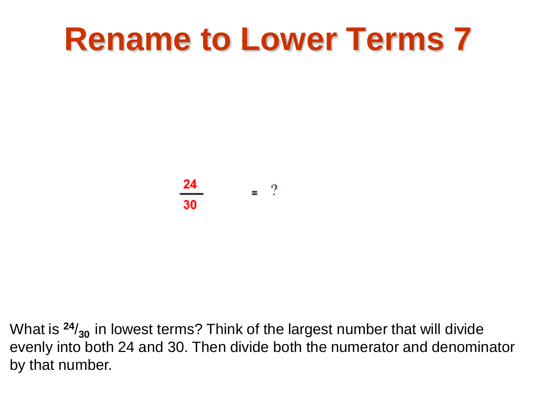24  $=$  ?

What is  $24/_{30}$  in lowest terms? Think of the largest number that will divide evenly into both 24 and 30. Then divide both the numerator and denominator by that number.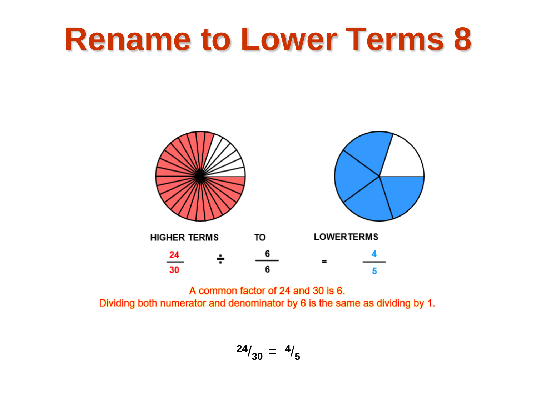

A common factor of 24 and 30 is 6. Dividing both numerator and denominator by 6 is the same as dividing by 1.

$$
^{24}/_{30} = \frac{4}{5}
$$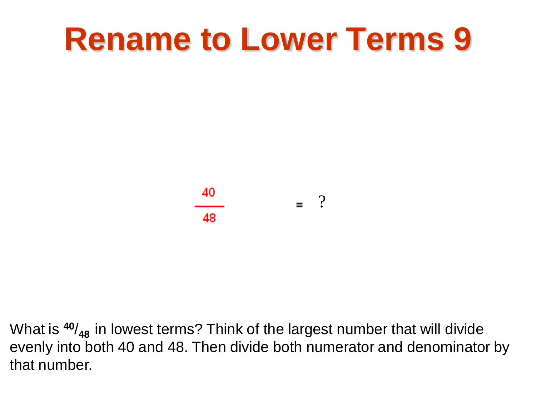

What is **<sup>40</sup>**/**48** in lowest terms? Think of the largest number that will divide evenly into both 40 and 48. Then divide both numerator and denominator by that number.